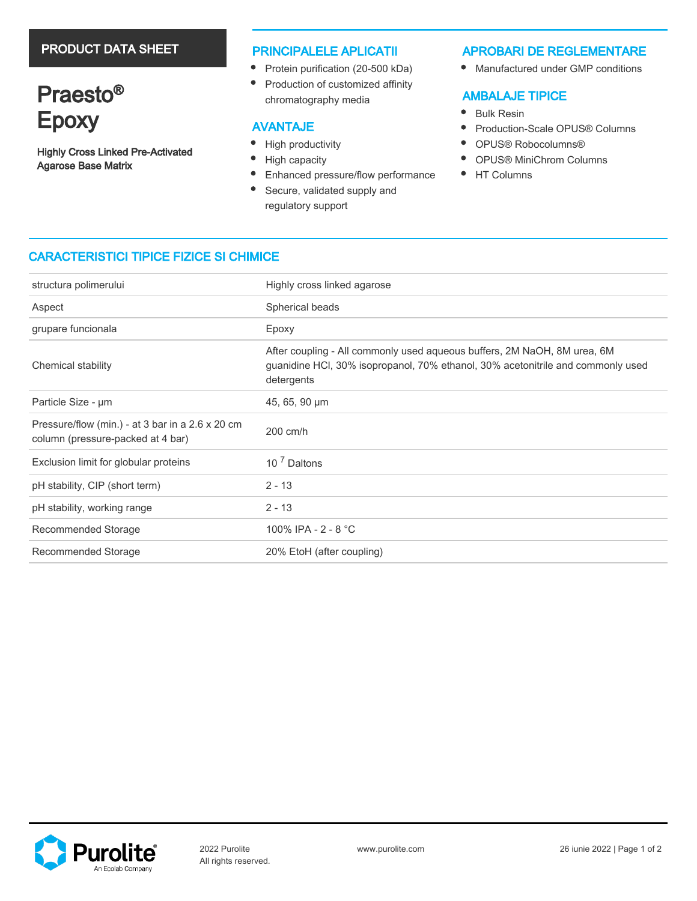# PRODUCT DATA SHEET

# Praesto<sup>®</sup> Epoxy

Highly Cross Linked Pre-Activated Agarose Base Matrix

## PRINCIPALELE APLICATII

- Protein purification (20-500 kDa)
- Production of customized affinity chromatography media

## AVANTAJE

- $\bullet$ High productivity
- $\bullet$ High capacity
- $\bullet$ Enhanced pressure/flow performance
- $\bullet$ Secure, validated supply and regulatory support

## APROBARI DE REGLEMENTARE

 $\bullet$ Manufactured under GMP conditions

# AMBALAJE TIPICE

- $\bullet$ Bulk Resin
- $\bullet$ Production-Scale OPUS® Columns
- $\bullet$ OPUS® Robocolumns®
- $\bullet$ OPUS® MiniChrom Columns
- $\bullet$ HT Columns

# CARACTERISTICI TIPICE FIZICE SI CHIMICE

| structura polimerului                                                                 | Highly cross linked agarose                                                                                                                                               |  |  |
|---------------------------------------------------------------------------------------|---------------------------------------------------------------------------------------------------------------------------------------------------------------------------|--|--|
| Aspect                                                                                | Spherical beads                                                                                                                                                           |  |  |
| grupare funcionala                                                                    | Epoxy                                                                                                                                                                     |  |  |
| Chemical stability                                                                    | After coupling - All commonly used aqueous buffers, 2M NaOH, 8M urea, 6M<br>guanidine HCI, 30% isopropanol, 70% ethanol, 30% acetonitrile and commonly used<br>detergents |  |  |
| Particle Size - µm                                                                    | 45, 65, 90 µm                                                                                                                                                             |  |  |
| Pressure/flow (min.) - at 3 bar in a 2.6 x 20 cm<br>column (pressure-packed at 4 bar) | 200 cm/h                                                                                                                                                                  |  |  |
| Exclusion limit for globular proteins                                                 | 10 <sup>7</sup> Daltons                                                                                                                                                   |  |  |
| pH stability, CIP (short term)                                                        | $2 - 13$                                                                                                                                                                  |  |  |
| pH stability, working range                                                           | $2 - 13$                                                                                                                                                                  |  |  |
| Recommended Storage                                                                   | 100% IPA - 2 - 8 °C                                                                                                                                                       |  |  |
| Recommended Storage                                                                   | 20% EtoH (after coupling)                                                                                                                                                 |  |  |